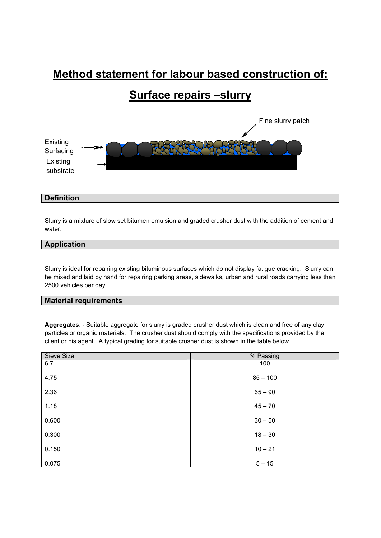# **Method statement for labour based construction of:**

# **Surface repairs –slurry**



# **Definition**

Slurry is a mixture of slow set bitumen emulsion and graded crusher dust with the addition of cement and water.

## **Application**

Slurry is ideal for repairing existing bituminous surfaces which do not display fatigue cracking. Slurry can he mixed and laid by hand for repairing parking areas, sidewalks, urban and rural roads carrying less than 2500 vehicles per day.

# **Material requirements**

**Aggregates**: - Suitable aggregate for slurry is graded crusher dust which is clean and free of any clay particles or organic materials. The crusher dust should comply with the specifications provided by the client or his agent. A typical grading for suitable crusher dust is shown in the table below.

| Sieve Size | % Passing  |
|------------|------------|
| 6.7        | 100        |
| 4.75       | $85 - 100$ |
| 2.36       | $65 - 90$  |
| 1.18       | $45 - 70$  |
| 0.600      | $30 - 50$  |
| 0.300      | $18 - 30$  |
| 0.150      | $10 - 21$  |
| 0.075      | $5 - 15$   |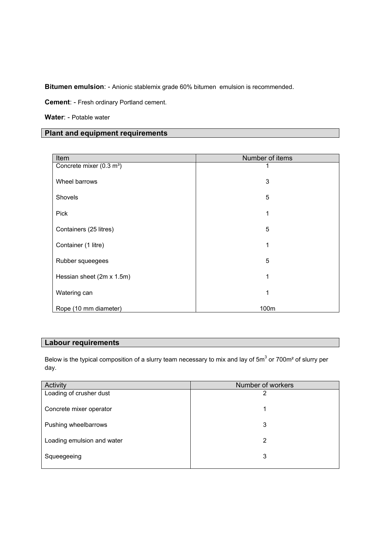**Bitumen emulsion**: - Anionic stablemix grade 60% bitumen emulsion is recommended.

**Cement**: - Fresh ordinary Portland cement.

**Water**: - Potable water

# **Plant and equipment requirements**

| Item                                 | Number of items |
|--------------------------------------|-----------------|
| Concrete mixer (0.3 m <sup>3</sup> ) |                 |
| Wheel barrows                        | 3               |
| Shovels                              | 5               |
| <b>Pick</b>                          | 1               |
| Containers (25 litres)               | 5               |
| Container (1 litre)                  |                 |
| Rubber squeegees                     | 5               |
| Hessian sheet (2m x 1.5m)            | 1               |
| Watering can                         |                 |
| Rope (10 mm diameter)                | 100m            |

# **Labour requirements**

Below is the typical composition of a slurry team necessary to mix and lay of 5m<sup>3</sup> or 700m<sup>2</sup> of slurry per day.

| Activity                   | Number of workers |
|----------------------------|-------------------|
| Loading of crusher dust    | າ                 |
| Concrete mixer operator    | 1                 |
| Pushing wheelbarrows       | 3                 |
| Loading emulsion and water | 2                 |
| Squeegeeing                | 3                 |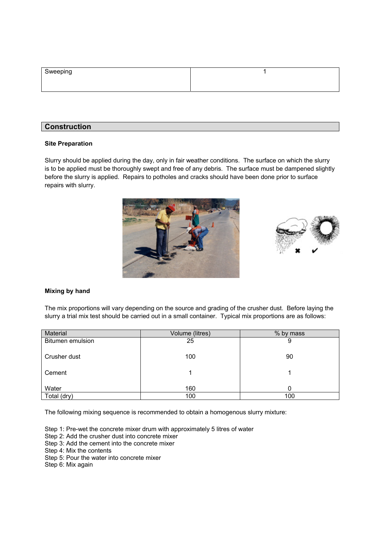| Sweeping |  |
|----------|--|
|          |  |
|          |  |

# **Construction**

### **Site Preparation**

Slurry should be applied during the day, only in fair weather conditions. The surface on which the slurry is to be applied must be thoroughly swept and free of any debris. The surface must be dampened slightly before the slurry is applied. Repairs to potholes and cracks should have been done prior to surface repairs with slurry.





#### **Mixing by hand**

The mix proportions will vary depending on the source and grading of the crusher dust. Before laying the slurry a trial mix test should be carried out in a small container. Typical mix proportions are as follows:

| Material         | Volume (litres) | % by mass |
|------------------|-----------------|-----------|
| Bitumen emulsion | 25              | 9         |
| Crusher dust     | 100             | 90        |
| Cement           |                 |           |
| Water            | 160             | 0         |
| Total (dry)      | 100             | 100       |

The following mixing sequence is recommended to obtain a homogenous slurry mixture:

- Step 1: Pre-wet the concrete mixer drum with approximately 5 litres of water
- Step 2: Add the crusher dust into concrete mixer
- Step 3: Add the cement into the concrete mixer
- Step 4: Mix the contents
- Step 5: Pour the water into concrete mixer
- Step 6: Mix again